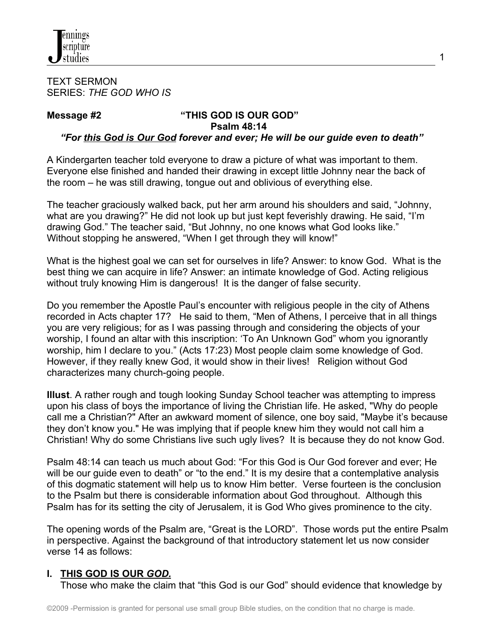

#### TEXT SERMON SERIES: *THE GOD WHO IS*

# **Message #2 "THIS GOD IS OUR GOD" Psalm 48:14**

# *"For this God is Our God forever and ever; He will be our guide even to death"*

A Kindergarten teacher told everyone to draw a picture of what was important to them. Everyone else finished and handed their drawing in except little Johnny near the back of the room – he was still drawing, tongue out and oblivious of everything else.

The teacher graciously walked back, put her arm around his shoulders and said, "Johnny, what are you drawing?" He did not look up but just kept feverishly drawing. He said, "I'm drawing God." The teacher said, "But Johnny, no one knows what God looks like." Without stopping he answered, "When I get through they will know!"

What is the highest goal we can set for ourselves in life? Answer: to know God. What is the best thing we can acquire in life? Answer: an intimate knowledge of God. Acting religious without truly knowing Him is dangerous! It is the danger of false security.

Do you remember the Apostle Paul's encounter with religious people in the city of Athens recorded in Acts chapter 17? He said to them, "Men of Athens, I perceive that in all things you are very religious; for as I was passing through and considering the objects of your worship, I found an altar with this inscription: 'To An Unknown God" whom you ignorantly worship, him I declare to you." (Acts 17:23) Most people claim some knowledge of God. However, if they really knew God, it would show in their lives! Religion without God characterizes many church-going people.

**Illust**. A rather rough and tough looking Sunday School teacher was attempting to impress upon his class of boys the importance of living the Christian life. He asked, "Why do people call me a Christian?" After an awkward moment of silence, one boy said, "Maybe it's because they don't know you." He was implying that if people knew him they would not call him a Christian! Why do some Christians live such ugly lives? It is because they do not know God.

Psalm 48:14 can teach us much about God: "For this God is Our God forever and ever; He will be our guide even to death" or "to the end." It is my desire that a contemplative analysis of this dogmatic statement will help us to know Him better. Verse fourteen is the conclusion to the Psalm but there is considerable information about God throughout. Although this Psalm has for its setting the city of Jerusalem, it is God Who gives prominence to the city.

The opening words of the Psalm are, "Great is the LORD". Those words put the entire Psalm in perspective. Against the background of that introductory statement let us now consider verse 14 as follows:

### **I. THIS GOD IS OUR** *GOD.*

Those who make the claim that "this God is our God" should evidence that knowledge by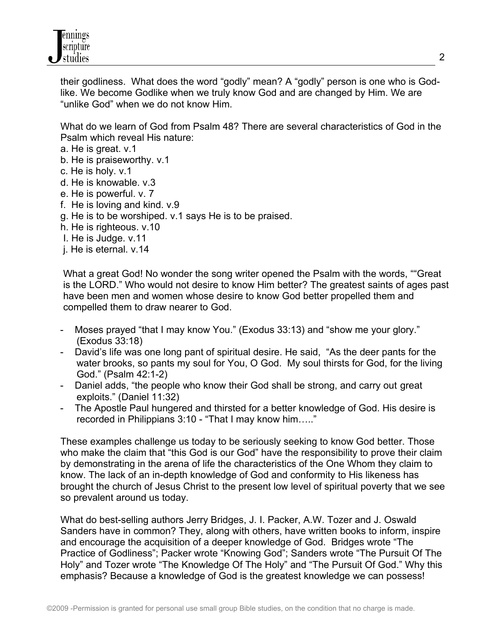

 their godliness. What does the word "godly" mean? A "godly" person is one who is God like. We become Godlike when we truly know God and are changed by Him. We are "unlike God" when we do not know Him.

 What do we learn of God from Psalm 48? There are several characteristics of God in the Psalm which reveal His nature:

- a. He is great. v.1
- b. He is praiseworthy. v.1
- c. He is holy. v.1
- d. He is knowable. v.3
- e. He is powerful. v. 7
- f. He is loving and kind. v.9
- g. He is to be worshiped. v.1 says He is to be praised.
- h. He is righteous. v.10
- I. He is Judge. v.11
- j. He is eternal. v.14

 What a great God! No wonder the song writer opened the Psalm with the words, ""Great is the LORD." Who would not desire to know Him better? The greatest saints of ages past have been men and women whose desire to know God better propelled them and compelled them to draw nearer to God.

- Moses prayed "that I may know You." (Exodus 33:13) and "show me your glory." (Exodus 33:18)
- David's life was one long pant of spiritual desire. He said, "As the deer pants for the water brooks, so pants my soul for You, O God. My soul thirsts for God, for the living God." (Psalm 42:1-2)
- Daniel adds, "the people who know their God shall be strong, and carry out great exploits." (Daniel 11:32)
- The Apostle Paul hungered and thirsted for a better knowledge of God. His desire is recorded in Philippians 3:10 - "That I may know him….."

 These examples challenge us today to be seriously seeking to know God better. Those who make the claim that "this God is our God" have the responsibility to prove their claim by demonstrating in the arena of life the characteristics of the One Whom they claim to know. The lack of an in-depth knowledge of God and conformity to His likeness has brought the church of Jesus Christ to the present low level of spiritual poverty that we see so prevalent around us today.

 What do best-selling authors Jerry Bridges, J. I. Packer, A.W. Tozer and J. Oswald Sanders have in common? They, along with others, have written books to inform, inspire and encourage the acquisition of a deeper knowledge of God. Bridges wrote "The Practice of Godliness"; Packer wrote "Knowing God"; Sanders wrote "The Pursuit Of The Holy" and Tozer wrote "The Knowledge Of The Holy" and "The Pursuit Of God." Why this emphasis? Because a knowledge of God is the greatest knowledge we can possess!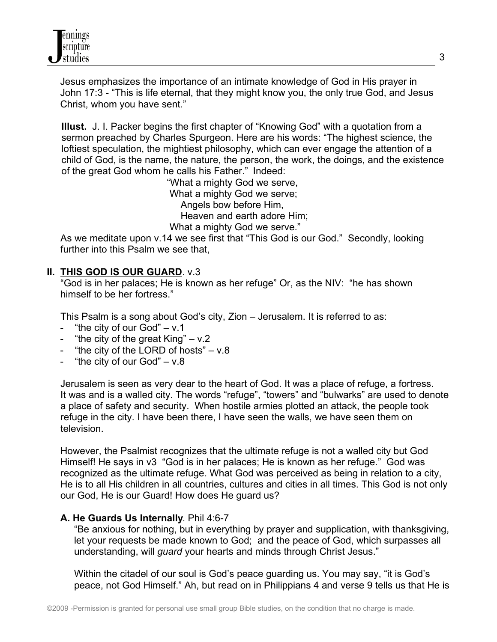Jesus emphasizes the importance of an intimate knowledge of God in His prayer in John 17:3 - "This is life eternal, that they might know you, the only true God, and Jesus Christ, whom you have sent."

**Illust.** J. I. Packer begins the first chapter of "Knowing God" with a quotation from a sermon preached by Charles Spurgeon. Here are his words: "The highest science, the loftiest speculation, the mightiest philosophy, which can ever engage the attention of a child of God, is the name, the nature, the person, the work, the doings, and the existence of the great God whom he calls his Father."Indeed:

 "What a mighty God we serve, What a mighty God we serve; Angels bow before Him, Heaven and earth adore Him; What a mighty God we serve."

 As we meditate upon v.14 we see first that "This God is our God." Secondly, looking further into this Psalm we see that,

# **II. THIS GOD IS OUR GUARD**. v.3

 "God is in her palaces; He is known as her refuge" Or, as the NIV: "he has shown himself to be her fortress."

This Psalm is a song about God's city, Zion – Jerusalem. It is referred to as:

- "the city of our God"  $v.1$
- "the city of the great  $King'' v.2$
- "the city of the LORD of hosts" v.8
- "the city of our  $God" v.8$

 Jerusalem is seen as very dear to the heart of God. It was a place of refuge, a fortress. It was and is a walled city. The words "refuge", "towers" and "bulwarks" are used to denote a place of safety and security. When hostile armies plotted an attack, the people took refuge in the city. I have been there, I have seen the walls, we have seen them on television.

 However, the Psalmist recognizes that the ultimate refuge is not a walled city but God Himself! He says in v3 "God is in her palaces; He is known as her refuge." God was recognized as the ultimate refuge. What God was perceived as being in relation to a city, He is to all His children in all countries, cultures and cities in all times. This God is not only our God, He is our Guard! How does He guard us?

# **A. He Guards Us Internally**. Phil 4:6-7

 "Be anxious for nothing, but in everything by prayer and supplication, with thanksgiving, let your requests be made known to God; and the peace of God, which surpasses all understanding, will *guard* your hearts and minds through Christ Jesus."

 Within the citadel of our soul is God's peace guarding us. You may say, "it is God's peace, not God Himself." Ah, but read on in Philippians 4 and verse 9 tells us that He is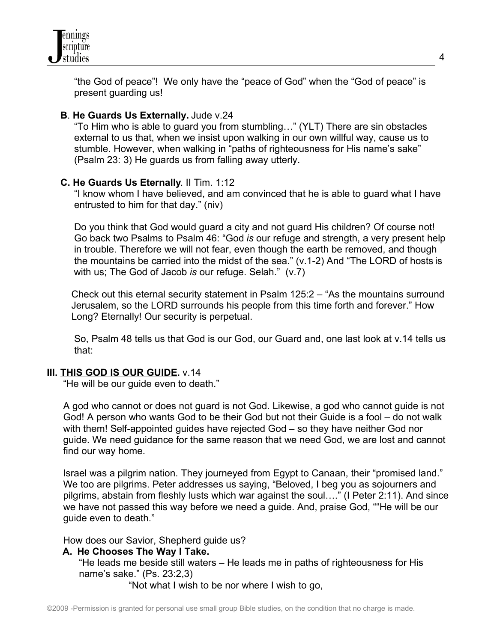

 "the God of peace"! We only have the "peace of God" when the "God of peace" is present guarding us!

#### **B**. **He Guards Us Externally.** Jude v.24

 "To Him who is able to guard you from stumbling…" (YLT) There are sin obstacles external to us that, when we insist upon walking in our own willful way, cause us to stumble. However, when walking in "paths of righteousness for His name's sake" (Psalm 23: 3) He guards us from falling away utterly.

#### **C. He Guards Us Eternally**. II Tim. 1:12

 "I know whom I have believed, and am convinced that he is able to guard what I have entrusted to him for that day." (niv)

 Do you think that God would guard a city and not guard His children? Of course not! Go back two Psalms to Psalm 46: "God *is* our refuge and strength, a very present help in trouble. Therefore we will not fear, even though the earth be removed, and though the mountains be carried into the midst of the sea." (v.1-2) And "The LORD of hosts is with us; The God of Jacob *is* our refuge. Selah." (v.7)

 Check out this eternal security statement in Psalm 125:2 – "As the mountains surround Jerusalem, so the LORD surrounds his people from this time forth and forever." How Long? Eternally! Our security is perpetual.

 So, Psalm 48 tells us that God is our God, our Guard and, one last look at v.14 tells us that:

#### **III. THIS GOD IS OUR GUIDE.** v.14

"He will be our guide even to death."

 A god who cannot or does not guard is not God. Likewise, a god who cannot guide is not God! A person who wants God to be their God but not their Guide is a fool – do not walk with them! Self-appointed guides have rejected God – so they have neither God nor guide. We need guidance for the same reason that we need God, we are lost and cannot find our way home.

Israel was a pilgrim nation. They journeyed from Egypt to Canaan, their "promised land." We too are pilgrims. Peter addresses us saying, "Beloved, I beg you as sojourners and pilgrims, abstain from fleshly lusts which war against the soul…." (I Peter 2:11). And since we have not passed this way before we need a guide. And, praise God, ""He will be our guide even to death."

How does our Savior, Shepherd guide us?

### **A. He Chooses The Way I Take.**

 "He leads me beside still waters – He leads me in paths of righteousness for His name's sake." (Ps. 23:2,3)

"Not what I wish to be nor where I wish to go,